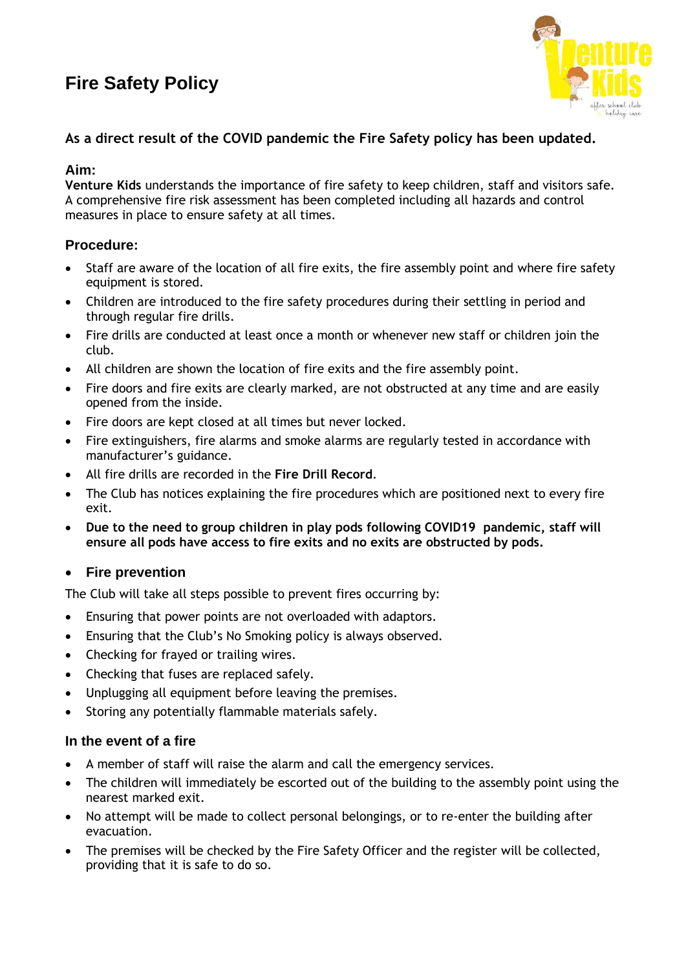# **Fire Safety Policy**



## **As a direct result of the COVID pandemic the Fire Safety policy has been updated.**

### **Aim:**

**Venture Kids** understands the importance of fire safety to keep children, staff and visitors safe. A comprehensive fire risk assessment has been completed including all hazards and control measures in place to ensure safety at all times.

## **Procedure:**

- Staff are aware of the location of all fire exits, the fire assembly point and where fire safety equipment is stored.
- Children are introduced to the fire safety procedures during their settling in period and through regular fire drills.
- Fire drills are conducted at least once a month or whenever new staff or children join the club.
- All children are shown the location of fire exits and the fire assembly point.
- Fire doors and fire exits are clearly marked, are not obstructed at any time and are easily opened from the inside.
- Fire doors are kept closed at all times but never locked.
- Fire extinguishers, fire alarms and smoke alarms are regularly tested in accordance with manufacturer's guidance.
- All fire drills are recorded in the **Fire Drill Record**.
- The Club has notices explaining the fire procedures which are positioned next to every fire exit.
- **Due to the need to group children in play pods following COVID19 pandemic, staff will ensure all pods have access to fire exits and no exits are obstructed by pods.**

#### • **Fire prevention**

The Club will take all steps possible to prevent fires occurring by:

- Ensuring that power points are not overloaded with adaptors.
- Ensuring that the Club's No Smoking policy is always observed.
- Checking for frayed or trailing wires.
- Checking that fuses are replaced safely.
- Unplugging all equipment before leaving the premises.
- Storing any potentially flammable materials safely.

#### **In the event of a fire**

- A member of staff will raise the alarm and call the emergency services.
- The children will immediately be escorted out of the building to the assembly point using the nearest marked exit.
- No attempt will be made to collect personal belongings, or to re-enter the building after evacuation.
- The premises will be checked by the Fire Safety Officer and the register will be collected, providing that it is safe to do so.